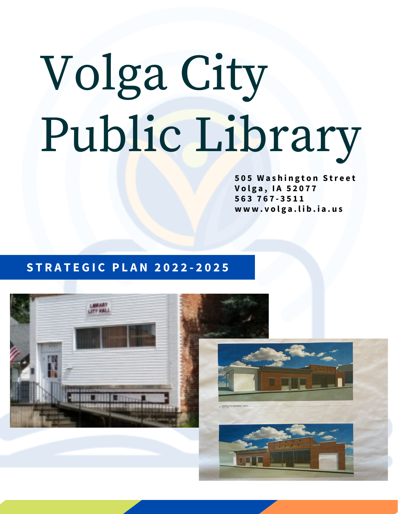# Volga City Public Library

**5 0 5 W a s h i n g t o n S tr e e t V o l g a , I A 5 2 0 7 7 5 6 3 7 6 7 - 3 5 1 1 w w w . v o l g a . l i b . i a . u s**

### **S T R A T E G I C P L A N 2 0 2 2 - 2 0 2 5**



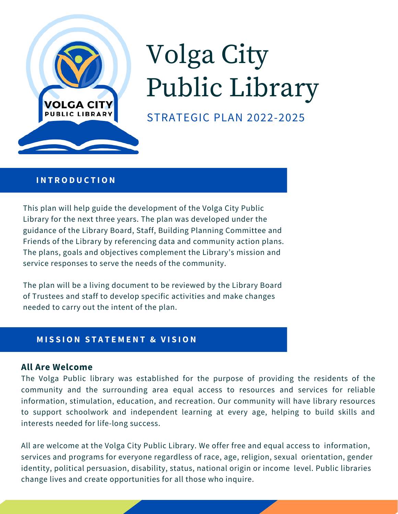

# Volga City Public Library

STRATEGIC PLAN 2022-2025

#### **I N T R O D U C T I O N**

This plan will help guide the development of the Volga City Public Library for the next three years. The plan was developed under the guidance of the Library Board, Staff, Building Planning Committee and Friends of the Library by referencing data and community action plans. The plans, goals and objectives complement the Library's mission and service responses to serve the needs of the community.

The plan will be a living document to be reviewed by the Library Board of Trustees and staff to develop specific activities and make changes needed to carry out the intent of the plan.

### **M I S S I O N S T A T E M E N T & V I S I O N**

### **All Are Welcome**

The Volga Public library was established for the purpose of providing the residents of the community and the surrounding area equal access to resources and services for reliable information, stimulation, education, and recreation. Our community will have library resources to support schoolwork and independent learning at every age, helping to build skills and interests needed for life-long success.

All are welcome at the Volga City Public Library. We offer free and equal access to information, services and programs for everyone regardless of race, age, religion, sexual orientation, gender identity, political persuasion, disability, status, national origin or income level. Public libraries change lives and create opportunities for all those who inquire.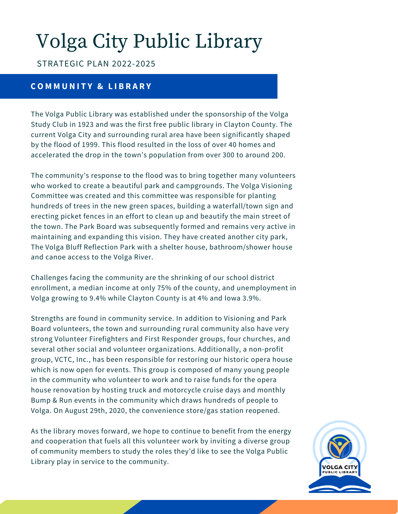# Volga City Public Library

### STRATEGIC PLAN 2022-2025

### **C O M M U N I T Y & L I B R A R Y**

The Volga Public Library was established under the sponsorship of the Volga Study Club in 1923 and was the first free public library in Clayton County. The current Volga City and surrounding rural area have been significantly shaped by the flood of 1999. This flood resulted in the loss of over 40 homes and accelerated the drop in the town's population from over 300 to around 200.

The community's response to the flood was to bring together many volunteers who worked to create a beautiful park and campgrounds. The Volga Visioning Committee was created and this committee was responsible for planting hundreds of trees in the new green spaces, building a waterfall/town sign and erecting picket fences in an effort to clean up and beautify the main street of the town. The Park Board was subsequently formed and remains very active in maintaining and expanding this vision. They have created another city park, The Volga Bluff Reflection Park with a shelter house, bathroom/shower house and canoe access to the Volga River.

Challenges facing the community are the shrinking of our school district enrollment, a median income at only 75% of the county, and unemployment in Volga growing to 9.4% while Clayton County is at 4% and Iowa 3.9%.

Strengths are found in community service. In addition to Visioning and Park Board volunteers, the town and surrounding rural community also have very strong Volunteer Firefighters and First Responder groups, four churches, and several other social and volunteer organizations. Additionally, a non-profit group, VCTC, Inc., has been responsible for restoring our historic opera house which is now open for events. This group is composed of many young people in the community who volunteer to work and to raise funds for the opera house renovation by hosting truck and motorcycle cruise days and monthly Bump & Run events in the community which draws hundreds of people to Volga. On August 29th, 2020, the convenience store/gas station reopened.

As the library moves forward, we hope to continue to benefit from the energy and cooperation that fuels all this volunteer work by inviting a diverse group of community members to study the roles they'd like to see the Volga Public Library play in service to the community.

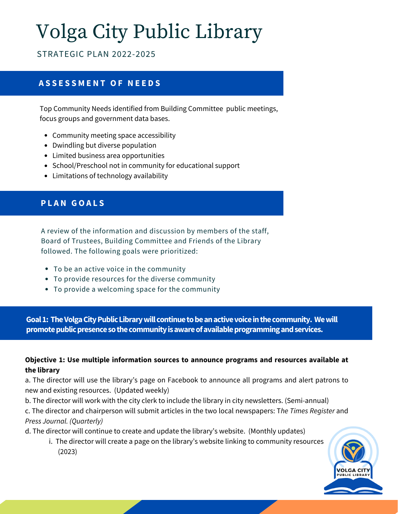# Volga City Public Library

STRATEGIC PLAN 2022-2025

### **A S S E S S M E N T O F N E E D S**

Top Community Needs identified from Building Committee public meetings, focus groups and government data bases.

- Community meeting space accessibility
- Dwindling but diverse population
- Limited business area opportunities
- School/Preschool not in community for educational support
- Limitations of technology availability

### **P L A N G O A L S**

A review of the information and discussion by members of the staff, Board of Trustees, Building Committee and Friends of the Library followed. The following goals were prioritized:

- To be an active voice in the community
- To provide resources for the diverse community
- To provide a welcoming space for the community

**Goal1: TheVolgaCityPublicLibrarywillcontinuetobeanactivevoiceinthecommunity. Wewill** promote public presence so the community is aware of available programming and services.

### **Objective 1: Use multiple information sources to announce programs and resources available at the library**

a. The director will use the library's page on Facebook to announce all programs and alert patrons to new and existing resources. (Updated weekly)

b. The director will work with the city clerk to include the library in city newsletters. (Semi-annual) c. The director and chairperson will submit articles in the two local newspapers: T*he Times Register* and *Press Journal. (Quarterly)*

d. The director will continue to create and update the library's website. (Monthly updates)

i. The director will create a page on the library's website linking to community resources (2023)

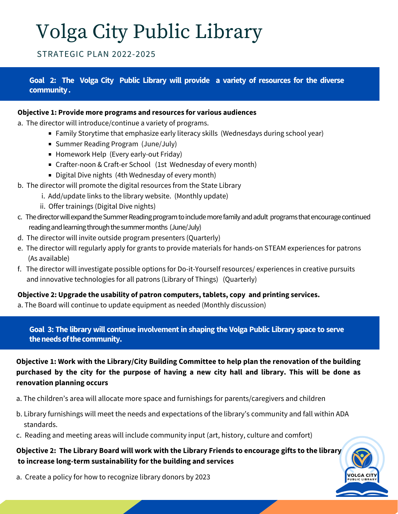# Volga City Public Library

### STRATEGIC PLAN 2022-2025

### **Goal 2: The Volga City Public Library will provide a variety of resources for the diverse community.**

#### **Objective 1: Provide more programs and resources for various audiences**

- a. The director will introduce/continue a variety of programs.
	- Family Storytime that emphasize early literacy skills (Wednesdays during school year)
	- Summer Reading Program (June/July)
	- Homework Help (Every early-out Friday)
	- Crafter-noon & Craft-er School (1st Wednesday of every month)
	- Digital Dive nights (4th Wednesday of every month)
- b. The director will promote the digital resources from the State Library
	- i. Add/update links to the library website. (Monthly update)
	- ii. Offer trainings (Digital Dive nights)
- c. The director will expand the Summer Reading program to include more family and adult programs that encourage continued reading and learning through the summer months (June/July)
- d. The director will invite outside program presenters (Quarterly)
- e. The director will regularly apply for grants to provide materials for hands-on STEAM experiences for patrons (As available)
- f. The director will investigate possible options for Do-it-Yourself resources/ experiences in creative pursuits and innovative technologies for all patrons (Library of Things) (Quarterly)

### **Objective 2: Upgrade the usability of patron computers, tablets, copy and printing services.**

a. The Board will continue to update equipment as needed (Monthly discussion)

**Goal 3: The library will continue involvementin shaping the Volga Public Library space to serve** the needs of the community.

**Objective 1: Work with the Library/City Building Committee to help plan the renovation of the building** purchased by the city for the purpose of having a new city hall and library. This will be done as **renovation planning occurs**

- a. The children's area will allocate more space and furnishings for parents/caregivers and children
- b. Library furnishings will meet the needs and expectations of the library's community and fall within ADA standards.
- c. Reading and meeting areas will include community input (art, history, culture and comfort)

### **Objective 2: The Library Board will work with the Library Friends to encourage gifts to the library to increase long-term sustainability for the building and services**

a. Create a policy for how to recognize library donors by 2023